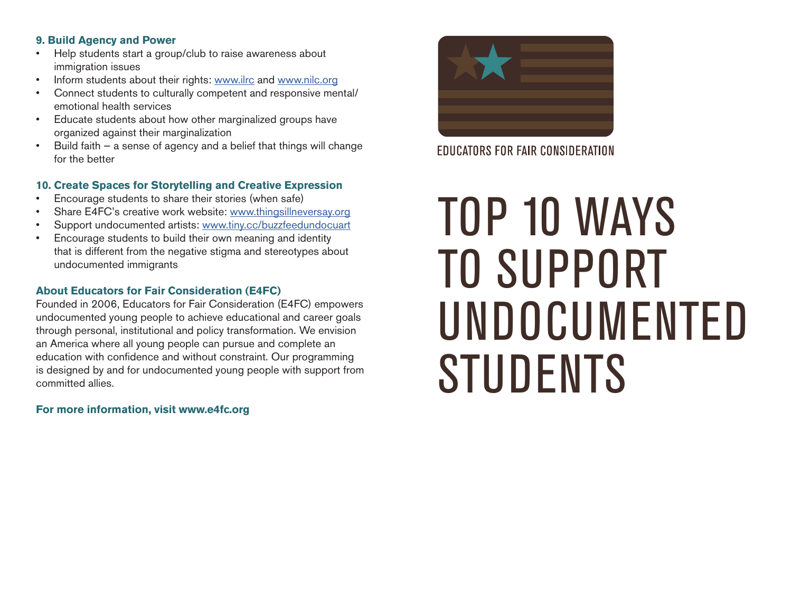#### **9. Build Agency and Power**

- Help students start a group/club to raise awareness about immigration issues start a group of  $\mathcal{L}$
- Inform students about their rights: www.ilrc and www.nilc.org
- Connect students to culturally competent and responsive mental/ emotional health services
- Educate students about how other marginalized groups have organized against their marginalization
- Build faith a sense of agency and a belief that things will change for the better **their** margin

# **10. Create Spaces for Storytelling and Creative Expression**

- Encourage students to share their stories (when safe)
- Share E4FC's creative work website: www.thingsillneversay.org
- Support undocumented artists: www.tiny.cc/buzzfeedundocuart
- Encourage students to build their own meaning and identity that is different from the negative stigma and stereotypes about undocumented immigrants  $\mathbf{t}$  is different from the negative stigma and steps about  $\mathbf{t}$

# **About Educators for Fair Consideration (E4FC)**

Founded in 2006, Educators for Fair Consideration (E4FC) empowers undocumented young people to achieve educational and career goals through personal, institutional and policy transformation. We envision an America where all young people can pursue and complete an and misined there an young poople can part as complete and education with confidence and without constraint. Our programming of understanding the interest of the material conditions. The programming is designed by and for undocumented young people with support from committed allies. ang now by and restance cannot community poopse man edippent int expression, and advocation, and advocation, and for programming is designed by and for programming is designed by and for programming is designed by and for programming is designed by and for programming is designed by and

**For more information, visit www.e4fc.org** 



**EDUCATORS FOR FAIR CONSIDERATION** 

# TOP 10 WAYS TO SUPPORT UNDOCUMENTED STUDENTS